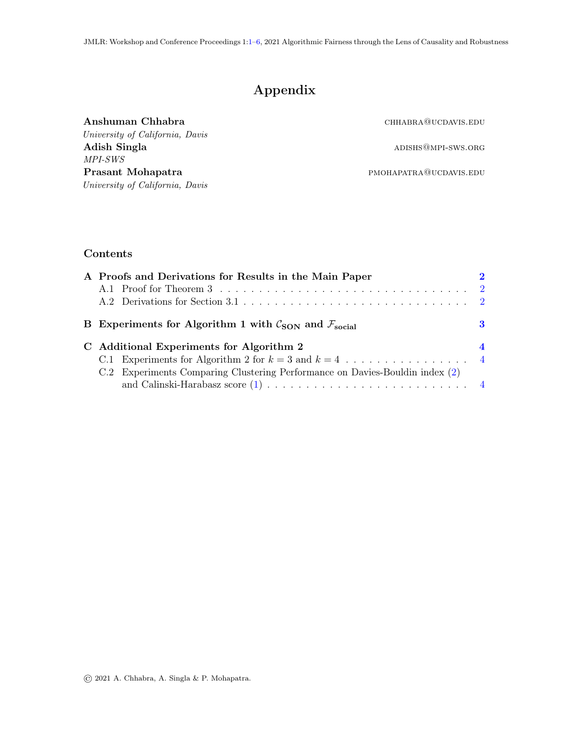# Appendix

<span id="page-0-0"></span>

| Anshuman Chhabra                | CHHABRA@UCDAVIS.EDU    |
|---------------------------------|------------------------|
| University of California, Davis |                        |
| Adish Singla                    | ADISHS@MPI-SWS.ORG     |
| <i>MPI-SWS</i>                  |                        |
| Prasant Mohapatra               | PMOHAPATRA@UCDAVIS.EDU |
| University of California, Davis |                        |

## Contents

| A Proofs and Derivations for Results in the Main Paper                            |                  |
|-----------------------------------------------------------------------------------|------------------|
|                                                                                   |                  |
|                                                                                   |                  |
| B Experiments for Algorithm 1 with $\mathcal{C}_{SON}$ and $\mathcal{F}_{social}$ | 3                |
|                                                                                   |                  |
| C Additional Experiments for Algorithm 2                                          | $\boldsymbol{4}$ |
|                                                                                   |                  |
| C.2 Experiments Comparing Clustering Performance on Davies-Bouldin index (2)      |                  |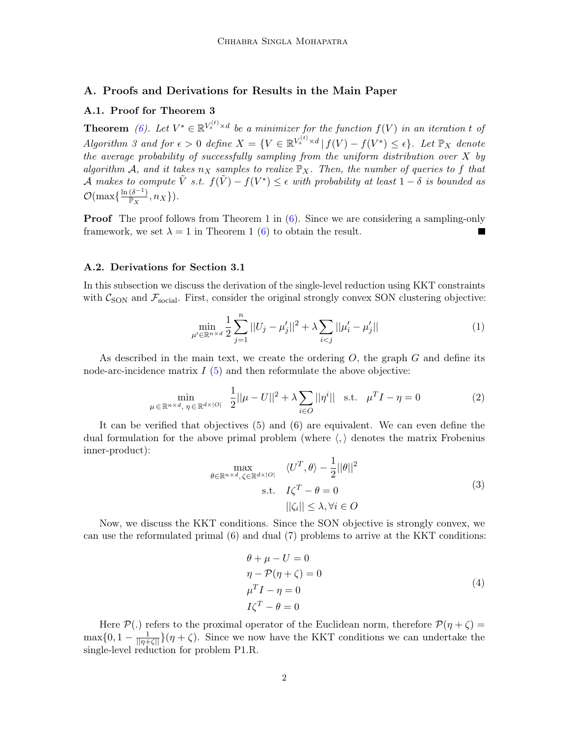#### <span id="page-1-0"></span>A. Proofs and Derivations for Results in the Main Paper

## <span id="page-1-1"></span>A.1. Proof for Theorem 3

**Theorem** [\(6\)](#page-5-3). Let  $V^* \in \mathbb{R}^{V_s^{(t)} \times d}$  be a minimizer for the function  $f(V)$  in an iteration t of Algorithm 3 and for  $\epsilon > 0$  define  $X = \{V \in \mathbb{R}^{V_s^{(t)} \times d} | f(V) - f(V^*) \leq \epsilon\}$ . Let  $\mathbb{P}_X$  denote the average probability of successfully sampling from the uniform distribution over  $X$  by algorithm A, and it takes  $n_X$  samples to realize  $\mathbb{P}_X$ . Then, the number of queries to f that A makes to compute  $\tilde{V}$  s.t.  $f(\tilde{V}) - f(V^*) \leq \epsilon$  with probability at least  $1 - \delta$  is bounded as  $\mathcal{O}(\max\{\frac{\ln{(\delta^{-1})}}{\mathbb{P}_X},n_X\}).$ 

**Proof** The proof follows from Theorem 1 in  $(6)$ . Since we are considering a sampling-only framework, we set  $\lambda = 1$  in Theorem 1 [\(6\)](#page-5-3) to obtain the result.

#### <span id="page-1-2"></span>A.2. Derivations for Section 3.1

In this subsection we discuss the derivation of the single-level reduction using KKT constraints with  $C_{\text{SON}}$  and  $\mathcal{F}_{\text{social}}$ . First, consider the original strongly convex SON clustering objective:

$$
\min_{\mu' \in \mathbb{R}^{n \times d}} \frac{1}{2} \sum_{j=1}^{n} ||U_j - \mu'_j||^2 + \lambda \sum_{i < j} ||\mu'_i - \mu'_j|| \tag{1}
$$

As described in the main text, we create the ordering  $O$ , the graph  $G$  and define its node-arc-incidence matrix  $I(5)$  $I(5)$  and then reformulate the above objective:

$$
\min_{\mu \in \mathbb{R}^{n \times d}, \eta \in \mathbb{R}^{d \times |O|}} \frac{1}{2} ||\mu - U||^2 + \lambda \sum_{i \in O} ||\eta^i|| \text{ s.t. } \mu^T I - \eta = 0
$$
 (2)

It can be verified that objectives (5) and (6) are equivalent. We can even define the dual formulation for the above primal problem (where  $\langle, \rangle$  denotes the matrix Frobenius inner-product):

$$
\max_{\theta \in \mathbb{R}^{n \times d}, \zeta \in \mathbb{R}^{d \times |O|}} \langle U^T, \theta \rangle - \frac{1}{2} ||\theta||^2
$$
\n
$$
\text{s.t.} \quad I\zeta^T - \theta = 0
$$
\n
$$
||\zeta_i|| \le \lambda, \forall i \in O
$$
\n(3)

Now, we discuss the KKT conditions. Since the SON objective is strongly convex, we can use the reformulated primal (6) and dual (7) problems to arrive at the KKT conditions:

$$
\theta + \mu - U = 0
$$
  
\n
$$
\eta - \mathcal{P}(\eta + \zeta) = 0
$$
  
\n
$$
\mu^{T} I - \eta = 0
$$
  
\n
$$
I\zeta^{T} - \theta = 0
$$
\n(4)

Here  $P(.)$  refers to the proximal operator of the Euclidean norm, therefore  $P(\eta + \zeta) =$  $\max\{0, 1 - \frac{1}{||\eta + \zeta||}\}(\eta + \zeta)$ . Since we now have the KKT conditions we can undertake the single-level reduction for problem P1.R.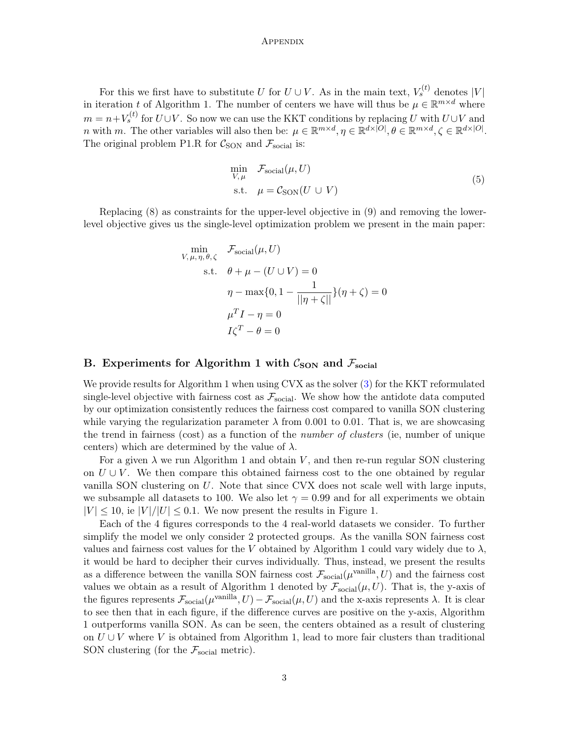#### **APPENDIX**

For this we first have to substitute U for  $U \cup V$ . As in the main text,  $V_s^{(t)}$  denotes  $|V|$ in iteration t of Algorithm 1. The number of centers we have will thus be  $\mu \in \mathbb{R}^{m \times d}$  where  $m = n + V_s^{(t)}$  for  $U \cup V$ . So now we can use the KKT conditions by replacing U with  $U \cup V$  and *n* with *m*. The other variables will also then be:  $\mu \in \mathbb{R}^{m \times d}$ ,  $\eta \in \mathbb{R}^{d \times |O|}$ ,  $\theta \in \mathbb{R}^{m \times d}$ ,  $\zeta \in \mathbb{R}^{d \times |O|}$ . The original problem P1.R for  $C_{\text{SON}}$  and  $\mathcal{F}_{\text{social}}$  is:

$$
\min_{V,\mu} \quad \mathcal{F}_{\text{social}}(\mu, U)
$$
\n
$$
\text{s.t.} \quad \mu = \mathcal{C}_{\text{SON}}(U \cup V) \tag{5}
$$

Replacing (8) as constraints for the upper-level objective in (9) and removing the lowerlevel objective gives us the single-level optimization problem we present in the main paper:

$$
\min_{V, \mu, \eta, \theta, \zeta} \mathcal{F}_{\text{social}}(\mu, U)
$$
\n
$$
\text{s.t.} \quad \theta + \mu - (U \cup V) = 0
$$
\n
$$
\eta - \max\{0, 1 - \frac{1}{||\eta + \zeta||}\}(\eta + \zeta) = 0
$$
\n
$$
\mu^T I - \eta = 0
$$
\n
$$
I\zeta^T - \theta = 0
$$

## <span id="page-2-0"></span>B. Experiments for Algorithm 1 with  $C_{\text{SON}}$  and  $\mathcal{F}_{\text{social}}$

We provide results for Algorithm 1 when using CVX as the solver  $(3)$  for the KKT reformulated single-level objective with fairness cost as  $\mathcal{F}_{\text{social}}$ . We show how the antidote data computed by our optimization consistently reduces the fairness cost compared to vanilla SON clustering while varying the regularization parameter  $\lambda$  from 0.001 to 0.01. That is, we are showcasing the trend in fairness (cost) as a function of the number of clusters (ie, number of unique centers) which are determined by the value of  $\lambda$ .

For a given  $\lambda$  we run Algorithm 1 and obtain V, and then re-run regular SON clustering on  $U \cup V$ . We then compare this obtained fairness cost to the one obtained by regular vanilla SON clustering on U. Note that since CVX does not scale well with large inputs, we subsample all datasets to 100. We also let  $\gamma = 0.99$  and for all experiments we obtain  $|V| \leq 10$ , ie  $|V|/|U| \leq 0.1$ . We now present the results in Figure 1.

Each of the 4 figures corresponds to the 4 real-world datasets we consider. To further simplify the model we only consider 2 protected groups. As the vanilla SON fairness cost values and fairness cost values for the V obtained by Algorithm 1 could vary widely due to  $\lambda$ , it would be hard to decipher their curves individually. Thus, instead, we present the results as a difference between the vanilla SON fairness cost  $\mathcal{F}_{\text{social}}(\mu^{\text{vanilla}}, U)$  and the fairness cost values we obtain as a result of Algorithm 1 denoted by  $\mathcal{F}_{\text{social}}(\mu, U)$ . That is, the y-axis of the figures represents  $\mathcal{F}_{\text{social}}(\mu^{\text{vanilla}}, U) - \mathcal{F}_{\text{social}}(\mu, U)$  and the x-axis represents  $\lambda$ . It is clear to see then that in each figure, if the difference curves are positive on the y-axis, Algorithm 1 outperforms vanilla SON. As can be seen, the centers obtained as a result of clustering on  $U \cup V$  where V is obtained from Algorithm 1, lead to more fair clusters than traditional SON clustering (for the  $\mathcal{F}_{\text{social}}$  metric).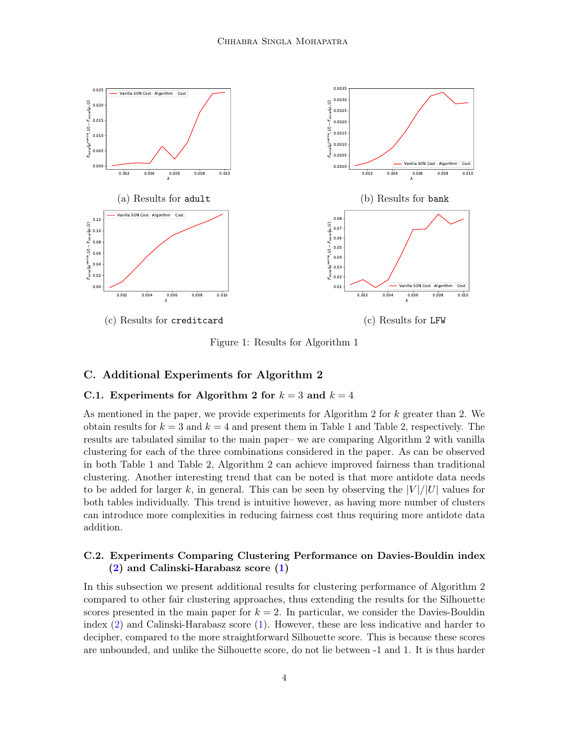

Figure 1: Results for Algorithm 1

## <span id="page-3-0"></span>C. Additional Experiments for Algorithm 2

### <span id="page-3-1"></span>C.1. Experiments for Algorithm 2 for  $k = 3$  and  $k = 4$

As mentioned in the paper, we provide experiments for Algorithm 2 for  $k$  greater than 2. We obtain results for  $k = 3$  and  $k = 4$  and present them in Table 1 and Table 2, respectively. The results are tabulated similar to the main paper– we are comparing Algorithm 2 with vanilla clustering for each of the three combinations considered in the paper. As can be observed in both Table 1 and Table 2, Algorithm 2 can achieve improved fairness than traditional clustering. Another interesting trend that can be noted is that more antidote data needs to be added for larger k, in general. This can be seen by observing the  $|V|/|U|$  values for both tables individually. This trend is intuitive however, as having more number of clusters can introduce more complexities in reducing fairness cost thus requiring more antidote data addition.

## <span id="page-3-2"></span>C.2. Experiments Comparing Clustering Performance on Davies-Bouldin index [\(2\)](#page-5-1) and Calinski-Harabasz score [\(1\)](#page-5-2)

In this subsection we present additional results for clustering performance of Algorithm 2 compared to other fair clustering approaches, thus extending the results for the Silhouette scores presented in the main paper for  $k = 2$ . In particular, we consider the Davies-Bouldin index [\(2\)](#page-5-1) and Calinski-Harabasz score [\(1\)](#page-5-2). However, these are less indicative and harder to decipher, compared to the more straightforward Silhouette score. This is because these scores are unbounded, and unlike the Silhouette score, do not lie between -1 and 1. It is thus harder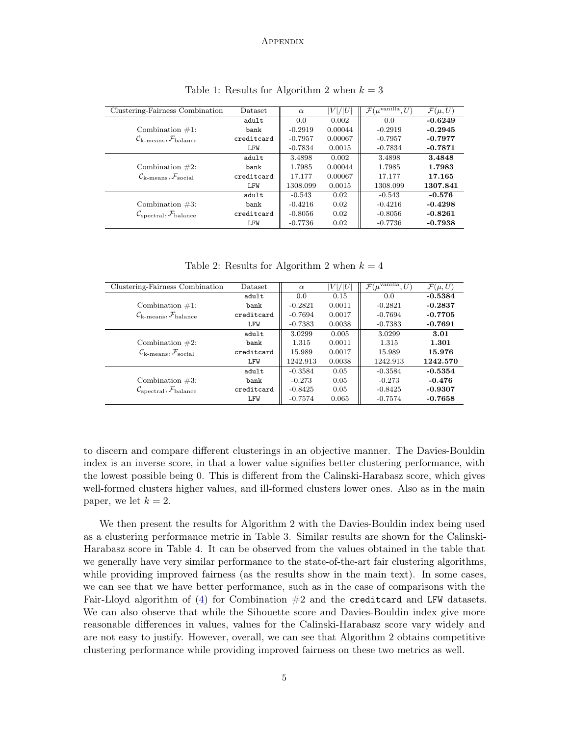#### **APPENDIX**

| Clustering-Fairness Combination                               | Dataset    | $\alpha$  | V / U   | $\mathcal{F}(\mu^{\text{vanilla}}, U)$ | $\mathcal{F}(\mu, U)$ |
|---------------------------------------------------------------|------------|-----------|---------|----------------------------------------|-----------------------|
|                                                               | adult      | 0.0       | 0.002   | 0.0                                    | $-0.6249$             |
| Combination $\#1$ :                                           | bank       | $-0.2919$ | 0.00044 | $-0.2919$                              | $-0.2945$             |
| $\mathcal{C}_{\rm k-means}, \mathcal{F}_{\rm balance}$        | creditcard | $-0.7957$ | 0.00067 | $-0.7957$                              | $-0.7977$             |
|                                                               | LFW        | $-0.7834$ | 0.0015  | $-0.7834$                              | $-0.7871$             |
|                                                               | adult      | 3.4898    | 0.002   | 3.4898                                 | 3.4848                |
| Combination $#2$ :                                            | bank       | 1.7985    | 0.00044 | 1.7985                                 | 1.7983                |
| $\mathcal{C}_{\rm k-means}, \mathcal{F}_{\rm social}$         | creditcard | 17.177    | 0.00067 | 17.177                                 | 17.165                |
|                                                               | LFW        | 1308.099  | 0.0015  | 1308.099                               | 1307.841              |
|                                                               | adult      | $-0.543$  | 0.02    | $-0.543$                               | $-0.576$              |
| Combination $#3$ :                                            | bank       | $-0.4216$ | 0.02    | $-0.4216$                              | $-0.4298$             |
| $\mathcal{C}_{\text{spectral}}, \mathcal{F}_{\text{balance}}$ | creditcard | $-0.8056$ | 0.02    | $-0.8056$                              | $-0.8261$             |
|                                                               | LFW        | $-0.7736$ | 0.02    | $-0.7736$                              | $-0.7938$             |

Table 1: Results for Algorithm 2 when  $k = 3$ 

Table 2: Results for Algorithm 2 when  $k = 4$ 

| Clustering-Fairness Combination                               | Dataset    | $\alpha$  | V / U  | $\mathcal{F}(\mu^{\text{vanilla}}, U)$ | $\mathcal{F}(\mu, U)$ |
|---------------------------------------------------------------|------------|-----------|--------|----------------------------------------|-----------------------|
|                                                               | adult      | 0.0       | 0.15   | 0.0                                    | $-0.5384$             |
| Combination $\#1$ :                                           | bank       | $-0.2821$ | 0.0011 | $-0.2821$                              | $-0.2837$             |
| $\mathcal{C}_{\rm k-means}, \mathcal{F}_{\rm balance}$        | creditcard | $-0.7694$ | 0.0017 | $-0.7694$                              | $-0.7705$             |
|                                                               | LFW        | $-0.7383$ | 0.0038 | $-0.7383$                              | $-0.7691$             |
|                                                               | adult      | 3.0299    | 0.005  | 3.0299                                 | 3.01                  |
| Combination $#2$ :                                            | bank       | 1.315     | 0.0011 | 1.315                                  | 1.301                 |
| $\mathcal{C}_{\rm k-means}, \mathcal{F}_{\rm social}$         | creditcard | 15.989    | 0.0017 | 15.989                                 | 15.976                |
|                                                               | LFW        | 1242.913  | 0.0038 | 1242.913                               | 1242.570              |
|                                                               | adult      | $-0.3584$ | 0.05   | $-0.3584$                              | $-0.5354$             |
| Combination $#3$ :                                            | bank       | $-0.273$  | 0.05   | $-0.273$                               | $-0.476$              |
| $\mathcal{C}_{\text{spectral}}, \mathcal{F}_{\text{balance}}$ | creditcard | $-0.8425$ | 0.05   | $-0.8425$                              | $-0.9307$             |
|                                                               | LFW        | $-0.7574$ | 0.065  | $-0.7574$                              | $-0.7658$             |

to discern and compare different clusterings in an objective manner. The Davies-Bouldin index is an inverse score, in that a lower value signifies better clustering performance, with the lowest possible being 0. This is different from the Calinski-Harabasz score, which gives well-formed clusters higher values, and ill-formed clusters lower ones. Also as in the main paper, we let  $k = 2$ .

We then present the results for Algorithm 2 with the Davies-Bouldin index being used as a clustering performance metric in Table 3. Similar results are shown for the Calinski-Harabasz score in Table 4. It can be observed from the values obtained in the table that we generally have very similar performance to the state-of-the-art fair clustering algorithms, while providing improved fairness (as the results show in the main text). In some cases, we can see that we have better performance, such as in the case of comparisons with the Fair-Lloyd algorithm of  $(4)$  for Combination  $#2$  and the creditcard and LFW datasets. We can also observe that while the Sihouette score and Davies-Bouldin index give more reasonable differences in values, values for the Calinski-Harabasz score vary widely and are not easy to justify. However, overall, we can see that Algorithm 2 obtains competitive clustering performance while providing improved fairness on these two metrics as well.